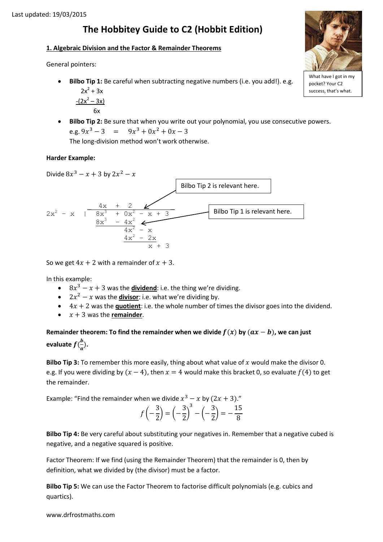# **The Hobbitey Guide to C2 (Hobbit Edition)**

### **1. Algebraic Division and the Factor & Remainder Theorems**

General pointers:

 **Bilbo Tip 1:** Be careful when subtracting negative numbers (i.e. you add!). e.g.  $2x^2 + 3x$ 

$$
\frac{- (2x^2 - 3x)}{6x}
$$

 **Bilbo Tip 2:** Be sure that when you write out your polynomial, you use consecutive powers. e.g.  $9x^3 - 3 = 9x^3 + 0x^2$ 

The long-division method won't work otherwise.

## **Harder Example:**

Divide 
$$
8x^3 - x + 3
$$
 by  $2x^2 - x$   
\n
$$
2x^2 - x
$$
\n
$$
\begin{array}{c|c}\n & 1 & 3x^3 + 2 & 3x^2 - x + 3 \\
& 8x^3 + 0x^2 - x + 3 & \text{Bilbo Tip 1 is relevant here.} \\
& & 4x^2 - x \\
& & 4x^2 - 2x \\
& & x + 3\n\end{array}
$$
\n\nBilbo Tip 1 is relevant here.

So we get  $4x + 2$  with a remainder of  $x + 3$ .

In this example:

- $\cdot$  8x<sup>3</sup> x + 3 was the **dividend**: i.e. the thing we're dividing.
- $2x^2 x$  was the **divisor**: i.e. what we're dividing by.
- $\bullet$   $4x + 2$  was the **quotient**: i.e. the whole number of times the divisor goes into the dividend.
- $\bullet$   $x + 3$  was the **remainder**.

Remainder theorem: To find the remainder when we divide  $f(x)$  by  $(ax - b)$ , we can just **evaluate**  $f(\frac{b}{a})$  $\frac{b}{a}$ ).

**Bilbo Tip 3:** To remember this more easily, thing about what value of  $x$  would make the divisor 0. e.g. If you were dividing by  $(x - 4)$ , then  $x = 4$  would make this bracket 0, so evaluate  $f(4)$  to get the remainder.

Example: "Find the remainder when we divide  $x^3 - x$  by  $(2x + 3)$ ."

$$
f\left(-\frac{3}{2}\right) = \left(-\frac{3}{2}\right)^3 - \left(-\frac{3}{2}\right) = -\frac{15}{8}
$$

**Bilbo Tip 4:** Be very careful about substituting your negatives in. Remember that a negative cubed is negative, and a negative squared is positive.

Factor Theorem: If we find (using the Remainder Theorem) that the remainder is 0, then by definition, what we divided by (the divisor) must be a factor.

**Bilbo Tip 5:** We can use the Factor Theorem to factorise difficult polynomials (e.g. cubics and quartics).



What have I got in my pocket? Your C2 success, that's what.

www.drfrostmaths.com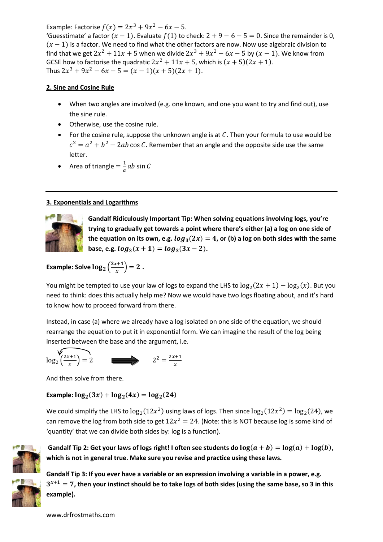Example: Factorise  $f(x) = 2x^3 + 9x^2 - 6x - 5$ .

'Guesstimate' a factor  $(x - 1)$ . Evaluate  $f(1)$  to check:  $2 + 9 - 6 - 5 = 0$ . Since the remainder is 0,  $(x - 1)$  is a factor. We need to find what the other factors are now. Now use algebraic division to find that we get  $2x^2 + 11x + 5$  when we divide  $2x^3 + 9x^2 - 6x - 5$  by  $(x - 1)$ . We know from GCSE how to factorise the quadratic  $2x^2 + 11x + 5$ , which is  $(x + 5)(2x + 1)$ . Thus  $2x^3 + 9x^2 - 6x - 5 = (x - 1)(x + 5)(2x + 1)$ .

## **2. Sine and Cosine Rule**

- When two angles are involved (e.g. one known, and one you want to try and find out), use the sine rule.
- Otherwise, use the cosine rule.
- For the cosine rule, suppose the unknown angle is at  $C$ . Then your formula to use would be  $c^2 = a^2 + b^2 - 2ab \cos C$ . Remember that an angle and the opposite side use the same letter.

• Area of triangle = 
$$
\frac{1}{a}ab \sin C
$$

# **3. Exponentials and Logarithms**



**Gandalf Ridiculously Important Tip: When solving equations involving logs, you're trying to gradually get towards a point where there's either (a) a log on one side of**  the equation on its own, e.g.  $log_3(2x) = 4$ , or (b) a log on both sides with the same **base, e.g.**  $log_3(x + 1) = log_3(3x - 2)$ .

**Example: Solve**  $\log_2\left(\frac{2}{3}\right)$  $\left(\frac{x+1}{x}\right) = 2$ .

You might be tempted to use your law of logs to expand the LHS to  $\log_2(2x+1) - \log_2(x)$ . But you need to think: does this actually help me? Now we would have two logs floating about, and it's hard to know how to proceed forward from there.

Instead, in case (a) where we already have a log isolated on one side of the equation, we should rearrange the equation to put it in exponential form. We can imagine the result of the log being inserted between the base and the argument, i.e.



And then solve from there.

**Example:**  $\log_2(3x) + \log_2(4x) = \log_2($ 

We could simplify the LHS to  $log_2(12x^2)$  using laws of logs. Then since  $log_2(12x^2) = log_2(24)$ , we can remove the log from both side to get  $12x^2 = 24$ . (Note: this is NOT because log is some kind of 'quantity' that we can divide both sides by: log is a function).



Gandalf Tip 2: Get your laws of logs right! I often see students do  $\log(a + b) = \log(a) + \log(b)$ , **which is not in general true. Make sure you revise and practice using these laws.** 

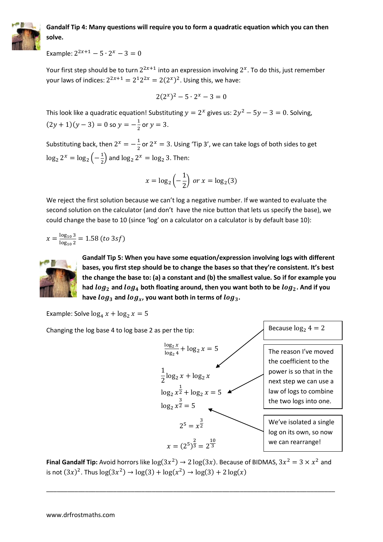

# **Gandalf Tip 4: Many questions will require you to form a quadratic equation which you can then solve.**

Example:  $2^{2x+1} - 5 \cdot 2^x$ 

Your first step should be to turn  $2^{2x+1}$  into an expression involving  $2^x$ . To do this, just remember your laws of indices:  $2^{2x+1} = 2^1 2^{2x} = 2(2^x)^2$ . Using this, we have:

$$
2(2^{x})^{2} - 5 \cdot 2^{x} - 3 = 0
$$

This look like a quadratic equation! Substituting  $y = 2^x$  gives us:  $2y^2 - 5y - 3 = 0$ . Solving,  $(2y+1)(y-3) = 0$  so  $y = -\frac{1}{2}$  $\frac{1}{2}$  or  $y = 3$ .

Substituting back, then  $2^x = -\frac{1}{3}$  $\frac{1}{2}$  or 2<sup>x</sup> = 3. Using 'Tip 3', we can take logs of both sides to get  $\log_2 2^x = \log_2 \left(-\frac{1}{2}\right)$  $\frac{1}{2}$  and  $\log_2 2^x = \log_2 3$ . Then:

$$
x = \log_2\left(-\frac{1}{2}\right) \text{ or } x = \log_2(3)
$$

We reject the first solution because we can't log a negative number. If we wanted to evaluate the second solution on the calculator (and don't have the nice button that lets us specify the base), we could change the base to 10 (since 'log' on a calculator on a calculator is by default base 10):

$$
x = \frac{\log_{10} 3}{\log_{10} 2} = 1.58 \ (to 3sf)
$$



**Gandalf Tip 5: When you have some equation/expression involving logs with different bases, you first step should be to change the bases so that they're consistent. It's best the change the base to: (a) a constant and (b) the smallest value. So if for example you**  had  $log_2$  and  $log_4$  both floating around, then you want both to be  $log_2$ . And if you have  $log_3$  and  $log_x$ , you want both in terms of  $log_3$ .

Example: Solve  $\log_4 x + \log_2 x = 5$ 

Changing the log base 4 to log base 2 as per the tip:

| $\frac{\log_2 x}{\log_2 x} + \log_2 x = 5$ | The reason I've moved<br>the coefficient to the<br>power is so that in the<br>next step we can use a<br>law of logs to combine<br>the two logs into one. |
|--------------------------------------------|----------------------------------------------------------------------------------------------------------------------------------------------------------|
| $\log_2 x^{\frac{1}{2}} + \log_2 x = 5$    | Two f logs to combine<br>the two logs into one.                                                                                                          |
| $2^5 = x^{\frac{3}{2}}$                    | We've isolated a single<br>log on its own, so now<br>we can rearrange!                                                                                   |

Because  $log_2 4 = 2$ 

**Final Gandalf Tip:** Avoid horrors like  $\log(3x^2) \rightarrow 2 \log(3x)$ . Because of BIDMAS,  $3x^2 = 3 \times x^2$  and is not  $(3x)^2$ . Thus  $\log(3x^2) \rightarrow \log(3) + \log(x^2)$ 

\_\_\_\_\_\_\_\_\_\_\_\_\_\_\_\_\_\_\_\_\_\_\_\_\_\_\_\_\_\_\_\_\_\_\_\_\_\_\_\_\_\_\_\_\_\_\_\_\_\_\_\_\_\_\_\_\_\_\_\_\_\_\_\_\_\_\_\_\_\_\_\_\_\_\_\_\_\_\_\_\_\_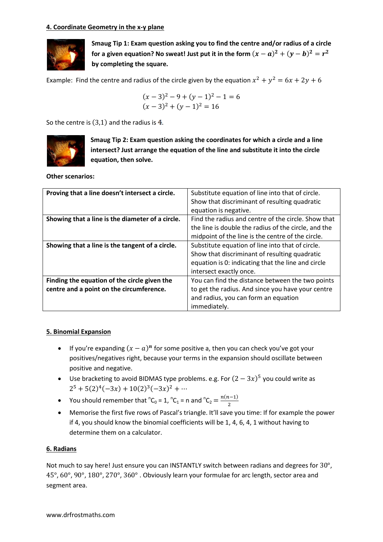#### **4. Coordinate Geometry in the x-y plane**



**Smaug Tip 1: Exam question asking you to find the centre and/or radius of a circle**  for a given equation? No sweat! Just put it in the form  $(x-a)^2+(y-b)^2=r^2$ **by completing the square.**

Example: Find the centre and radius of the circle given by the equation  $x^2 + y^2$ 

$$
(x-3)2 - 9 + (y-1)2 - 1 = 6
$$
  
(x-3)<sup>2</sup> + (y-1)<sup>2</sup> = 16

So the centre is  $(3,1)$  and the radius is 4.



**Smaug Tip 2: Exam question asking the coordinates for which a circle and a line intersect? Just arrange the equation of the line and substitute it into the circle equation, then solve.**

**Other scenarios:**

| Proving that a line doesn't intersect a circle.  | Substitute equation of line into that of circle.     |  |  |
|--------------------------------------------------|------------------------------------------------------|--|--|
|                                                  | Show that discriminant of resulting quadratic        |  |  |
|                                                  | equation is negative.                                |  |  |
| Showing that a line is the diameter of a circle. | Find the radius and centre of the circle. Show that  |  |  |
|                                                  | the line is double the radius of the circle, and the |  |  |
|                                                  | midpoint of the line is the centre of the circle.    |  |  |
| Showing that a line is the tangent of a circle.  | Substitute equation of line into that of circle.     |  |  |
|                                                  | Show that discriminant of resulting quadratic        |  |  |
|                                                  | equation is 0: indicating that the line and circle   |  |  |
|                                                  | intersect exactly once.                              |  |  |
| Finding the equation of the circle given the     | You can find the distance between the two points     |  |  |
| centre and a point on the circumference.         | to get the radius. And since you have your centre    |  |  |
|                                                  | and radius, you can form an equation                 |  |  |
|                                                  | immediately.                                         |  |  |

#### **5. Binomial Expansion**

- If you're expanding  $(x a)^n$  for some positive a, then you can check you've got your positives/negatives right, because your terms in the expansion should oscillate between positive and negative.
- Use bracketing to avoid BIDMAS type problems. e.g. For  $(2-3x)^5$  you could write as  $2^5 + 5(2)^4(-3x) + 10(2)^3(-3x)^2$
- You should remember that  ${}^nC_0 = 1$ ,  ${}^nC_1 = n$  and  ${}^nC_2 = \frac{n}{n}$  $\overline{\mathbf{c}}$
- Memorise the first five rows of Pascal's triangle. It'll save you time: If for example the power if 4, you should know the binomial coefficients will be 1, 4, 6, 4, 1 without having to determine them on a calculator.

#### **6. Radians**

Not much to say here! Just ensure you can INSTANTLY switch between radians and degrees for  $30^{\circ}$ ,  $45^{\circ}$ ,  $60^{\circ}$ ,  $90^{\circ}$ ,  $180^{\circ}$ ,  $270^{\circ}$ ,  $360^{\circ}$ . Obviously learn your formulae for arc length, sector area and segment area.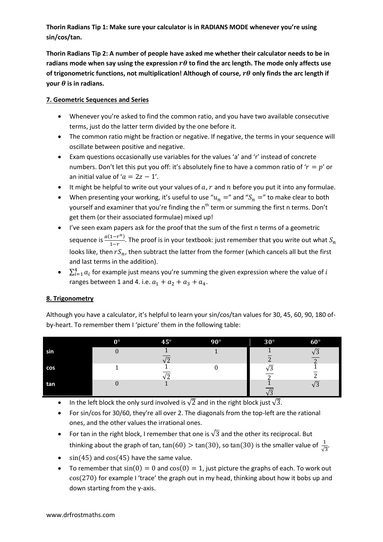**Thorin Radians Tip 1: Make sure your calculator is in RADIANS MODE whenever you're using sin/cos/tan.**

**Thorin Radians Tip 2: A number of people have asked me whether their calculator needs to be in**  radians mode when say using the expression  $r\theta$  to find the arc length. The mode only affects use of trigonometric functions, not multiplication! Although of course,  $r\theta$  only finds the arc length if **your**  $\theta$  is in radians.

## **7. Geometric Sequences and Series**

- Whenever you're asked to find the common ratio, and you have two available consecutive terms, just do the latter term divided by the one before it.
- The common ratio might be fraction or negative. If negative, the terms in your sequence will oscillate between positive and negative.
- Exam questions occasionally use variables for the values 'a' and 'r' instead of concrete numbers. Don't let this put you off: it's absolutely fine to have a common ratio of ' $r = p'$  or an initial value of ' $a = 2z - 1'$ .
- It might be helpful to write out your values of  $a, r$  and  $n$  before you put it into any formulae.
- When presenting your working, it's useful to use " $u_n =$ " and " $S_n =$ " to make clear to both yourself and examiner that you're finding the n<sup>th</sup> term or summing the first n terms. Don't get them (or their associated formulae) mixed up!
- I've seen exam papers ask for the proof that the sum of the first n terms of a geometric sequence is  $\frac{a(1-r^n)}{1-r}$  $\frac{1}{1-r}$ . The proof is in your textbook: just remember that you write out what looks like, then  $rS_n$ , then subtract the latter from the former (which cancels all but the first and last terms in the addition).
- $\bullet$   $\sum_{i=1}^{4} a_i$  for example just means you're summing the given expression where the value of ranges between 1 and 4. i.e.  $a_1 + a_2 + a_3 + a_4$ .

# **8. Trigonometry**

Although you have a calculator, it's helpful to learn your sin/cos/tan values for 30, 45, 60, 90, 180 ofby-heart. To remember them I 'picture' them in the following table:

|     | $0^{\circ}$ | $45^{\circ}$ | $90^\circ$ | $30^\circ$ | $60^\circ$ |
|-----|-------------|--------------|------------|------------|------------|
| sin |             |              |            |            |            |
|     |             |              |            |            |            |
| cos |             |              |            |            |            |
|     |             |              |            |            |            |
| tan |             |              |            |            | v J        |
|     |             |              |            |            |            |

- In the left block the only surd involved is  $\sqrt{2}$  and in the right block just  $\sqrt{3}$ .
- For sin/cos for 30/60, they're all over 2. The diagonals from the top-left are the rational ones, and the other values the irrational ones.
- For tan in the right block, I remember that one is  $\sqrt{3}$  and the other its reciprocal. But thinking about the graph of tan,  $tan(60) > tan(30)$ , so  $tan(30)$  is the smaller value of  $\frac{1}{\sqrt{3}}$ .
- $\cdot$  sin(45) and cos(45) have the same value.
- To remember that  $sin(0) = 0$  and  $cos(0) = 1$ , just picture the graphs of each. To work out  $cos(270)$  for example I 'trace' the graph out in my head, thinking about how it bobs up and down starting from the y-axis.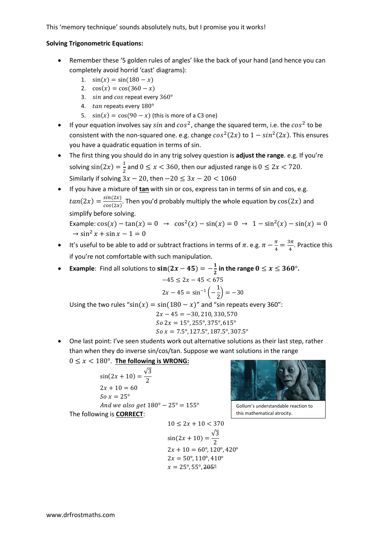This 'memory technique' sounds absolutely nuts, but I promise you it works!

#### **Solving Trigonometric Equations:**

- Remember these '5 golden rules of angles' like the back of your hand (and hence you can completely avoid horrid 'cast' diagrams):
	- 1.  $sin(x) = sin(180 x)$
	- 2.  $cos(x) = cos(360 x)$
	- 3.  $sin$  and cos repeat every  $360^\circ$
	- 4.  $tan$  repeats every  $180^\circ$
	- 5.  $\sin(x) = \cos(90 x)$  (this is more of a C3 one)
- If your equation involves say sin and  $cos<sup>2</sup>$ , change the squared term, i.e. the  $cos<sup>2</sup>$  to be consistent with the non-squared one. e.g. change  $cos^2(2x)$  to  $1-sin^2(2x)$ . This ensures you have a quadratic equation in terms of sin.
- The first thing you should do in any trig solvey question is **adjust the range**. e.g. If you're solving  $sin(2x) = \frac{1}{2}$  $\frac{1}{2}$  and  $0 \le x < 360$ , then our adjusted range is  $0 \le 2x < 720$ . Similarly if solving  $3x - 20$ , then  $-20 \le 3x - 20 < 1060$
- If you have a mixture of **tan** with sin or cos, express tan in terms of sin and cos, e.g.  $tan(2x) = \frac{s}{s}$  $\frac{sn(2x)}{cos(2x)}$ . Then you'd probably multiply the whole equation by  $cos(2x)$  and simplify before solving.

Example:  $cos(x) - tan(x) = 0 \rightarrow cos^2(x) - sin(x) = 0 \rightarrow 1 - sin^2(x)$ 

- It's useful to be able to add or subtract fractions in terms of  $\pi$ . e.g.  $\pi \frac{\pi}{4}$  $\frac{\pi}{4} = \frac{3}{4}$  $\frac{3\pi}{4}$ . Practice this if you're not comfortable with such manipulation.
- **Example:** Find all solutions to  $\sin(2x 45) = -\frac{1}{2}$  $\frac{1}{2}$  in the range  $0 \le x \le 360^{\circ}$ .  $-45 \leq 2x - 45 < 675$  $2x - 45 = \sin^{-1}\left(-\frac{1}{2}\right)$  $\frac{1}{2}$ ) =

Using the two rules " $\sin(x) = \sin(180 - x)$ " and "sin repeats every 360":  $2x - 45 = -30, 210, 330, 570$ So  $2x = 15^{\circ}, 255^{\circ}, 375^{\circ}, 615^{\circ}$  $So x = 7.5^{\circ}, 127.5^{\circ}, 187.5^{\circ}, 307.5^{\circ}$ 

 One last point: I've seen students work out alternative solutions as their last step, rather than when they do inverse sin/cos/tan. Suppose we want solutions in the range

 $0 \leq x < 180^{\circ}$ . The following is WRONG:

$$
\sin(2x + 10) = \frac{\sqrt{3}}{2}
$$
  
2x + 10 = 60  
So x = 25°  
And we also get 180° - 25° = 155°  
The following is **CORRECT**:



Gollum's understandable reaction to this mathematical atrocity.

$$
10 \le 2x + 10 < 370
$$
\n
$$
\sin(2x + 10) = \frac{\sqrt{3}}{2}
$$
\n
$$
2x + 10 = 60^{\circ}, 120^{\circ}, 420^{\circ}
$$
\n
$$
2x = 50^{\circ}, 110^{\circ}, 410^{\circ}
$$

$$
x=25^\circ, 55^\circ, \overline{205^\circ}
$$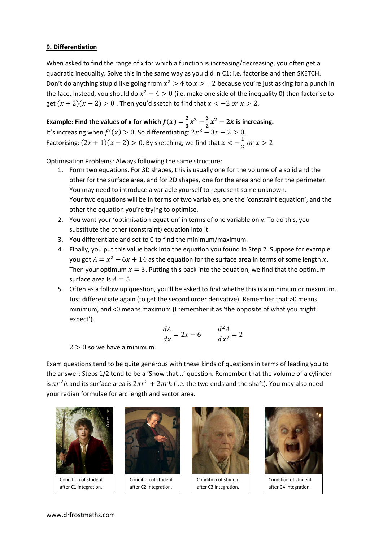#### **9. Differentiation**

When asked to find the range of x for which a function is increasing/decreasing, you often get a quadratic inequality. Solve this in the same way as you did in C1: i.e. factorise and then SKETCH. Don't do anything stupid like going from  $x^2 > 4$  to  $x > \pm 2$  because you're just asking for a punch in the face. Instead, you should do  $x^2 - 4 > 0$  (i.e. make one side of the inequality 0) then factorise to get  $(x + 2)(x - 2) > 0$ . Then you'd sketch to find that  $x < -2$  or  $x > 2$ .

**Example: Find the values of x for which**  $f(x) = \frac{2}{3}$  $rac{2}{3}x^3-\frac{3}{2}$  $\frac{3}{2}x^2-2x$  is increasing. It's increasing when  $f'(x) > 0$ . So differentiating:  $2x^2 - 3x - 2 > 0$ . Factorising:  $(2x + 1)(x - 2) > 0$ . By sketching, we find that  $x < -\frac{1}{2}$  $rac{1}{2}$  0

Optimisation Problems: Always following the same structure:

- 1. Form two equations. For 3D shapes, this is usually one for the volume of a solid and the other for the surface area, and for 2D shapes, one for the area and one for the perimeter. You may need to introduce a variable yourself to represent some unknown. Your two equations will be in terms of two variables, one the 'constraint equation', and the other the equation you're trying to optimise.
- 2. You want your 'optimisation equation' in terms of one variable only. To do this, you substitute the other (constraint) equation into it.
- 3. You differentiate and set to 0 to find the minimum/maximum.
- 4. Finally, you put this value back into the equation you found in Step 2. Suppose for example you got  $A = x^2 - 6x + 14$  as the equation for the surface area in terms of some length x. Then your optimum  $x = 3$ . Putting this back into the equation, we find that the optimum surface area is  $A = 5$ .
- 5. Often as a follow up question, you'll be asked to find whethe this is a minimum or maximum. Just differentiate again (to get the second order derivative). Remember that >0 means minimum, and <0 means maximum (I remember it as 'the opposite of what you might expect').

$$
\frac{dA}{dx} = 2x - 6 \qquad \frac{d^2A}{dx^2} = 2
$$

 $2 > 0$  so we have a minimum.

Exam questions tend to be quite generous with these kinds of questions in terms of leading you to the answer: Steps 1/2 tend to be a 'Show that...' question. Remember that the volume of a cylinder is  $\pi r^2 h$  and its surface area is  $2\pi r^2 + 2\pi rh$  (i.e. the two ends and the shaft). You may also need your radian formulae for arc length and sector area.